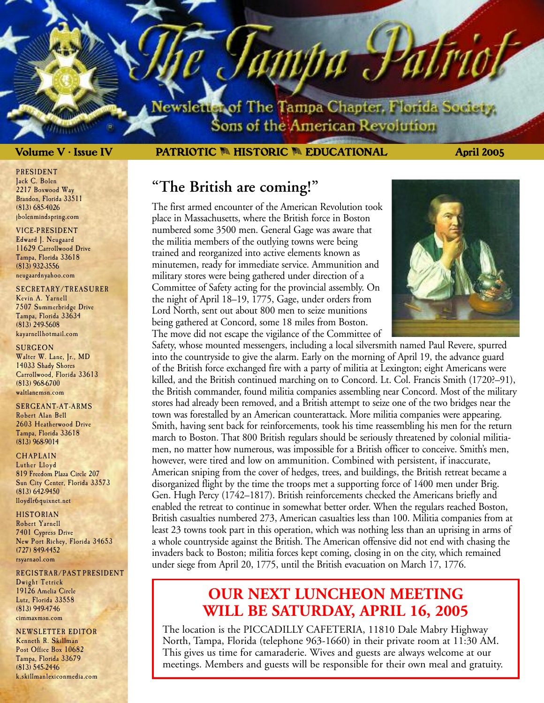lewsletter of The Tampa Chapter, Florida Society. Sons of the American Revolution

ampa J

### **Volume V • Issue IV PATRIOTIC** M **HISTORIC** M **EDUCATIONAL April 2005**

### **"The British are coming!"**

The first armed encounter of the American Revolution took place in Massachusetts, where the British force in Boston numbered some 3500 men. General Gage was aware that the militia members of the outlying towns were being trained and reorganized into active elements known as minutemen, ready for immediate service. Ammunition and military stores were being gathered under direction of a Committee of Safety acting for the provincial assembly. On the night of April 18–19, 1775, Gage, under orders from Lord North, sent out about 800 men to seize munitions being gathered at Concord, some 18 miles from Boston. The move did not escape the vigilance of the Committee of



Safety, whose mounted messengers, including a local silversmith named Paul Revere, spurred into the countryside to give the alarm. Early on the morning of April 19, the advance guard of the British force exchanged fire with a party of militia at Lexington; eight Americans were killed, and the British continued marching on to Concord. Lt. Col. Francis Smith (1720?–91), the British commander, found militia companies assembling near Concord. Most of the military stores had already been removed, and a British attempt to seize one of the two bridges near the town was forestalled by an American counterattack. More militia companies were appearing. Smith, having sent back for reinforcements, took his time reassembling his men for the return march to Boston. That 800 British regulars should be seriously threatened by colonial militiamen, no matter how numerous, was impossible for a British officer to conceive. Smith's men, however, were tired and low on ammunition. Combined with persistent, if inaccurate, American sniping from the cover of hedges, trees, and buildings, the British retreat became a disorganized flight by the time the troops met a supporting force of 1400 men under Brig. Gen. Hugh Percy (1742–1817). British reinforcements checked the Americans briefly and enabled the retreat to continue in somewhat better order. When the regulars reached Boston, British casualties numbered 273, American casualties less than 100. Militia companies from at least 23 towns took part in this operation, which was nothing less than an uprising in arms of a whole countryside against the British. The American offensive did not end with chasing the invaders back to Boston; militia forces kept coming, closing in on the city, which remained under siege from April 20, 1775, until the British evacuation on March 17, 1776.

### **OUR NEXT LUNCHEON MEETING WILL BE SATURDAY, APRIL 16, 2005**

The location is the PICCADILLY CAFETERIA, 11810 Dale Mabry Highway North, Tampa, Florida (telephone 963-1660) in their private room at 11:30 AM. This gives us time for camaraderie. Wives and guests are always welcome at our meetings. Members and guests will be responsible for their own meal and gratuity.

PRESIDENT Jack C. Bolen 2217 Boxwood Way Brandon, Florida 33511 (813) 685-4026 jbolenmindspring.com

#### VICE-PRESIDENT

Edward J. Neugaard 11629 Carrollwood Drive Tampa, Florida 33618 (813) 932-3556 neugaardnyahoo.com

#### SECRETARY/TREASURER

Kevin A. Yarnell 7507 Summerbridge Drive Tampa, Florida 33634 (813) 249-5608 kayarnellhotmail.com

#### **SURGEON**

Walter W. Lane, Jr., MD 14033 Shady Shores Carrollwood, Florida 33613 (813) 968-6700 waltlanemsn.com

#### SERGEANT-AT-ARMS

Robert Alan Bell 2603 Heatherwood Drive Tampa, Florida 33618 (813) 968-9014

#### **CHAPLAIN**

Luther Lloyd 819 Freedom Plaza Circle 207 Sun City Center, Florida 33573 (813) 642-9450 lloydlr6 quixnet.net

#### HISTORIAN

Robert Yarnell 7401 Cypress Drive New Port Richey, Florida 34653 (727) 849-4452 rsyarnaol.com

#### REGISTRAR/PAST PRESIDENT Dwight Tetrick 19126 Amelia Circle Lutz, Florida 33558 (813) 949-4746 cimmaxmsn.com

NEWSLETTER EDITOR Kenneth R. Skillman Post Office Box 10682 Tampa, Florida 33679 (813) 545-2446 k.skillmanlexiconmedia.com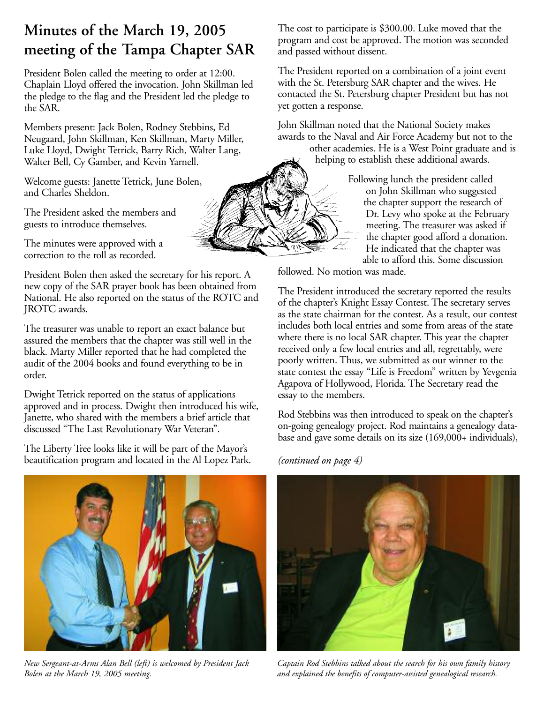# **Minutes of the March 19, 2005 meeting of the Tampa Chapter SAR**

President Bolen called the meeting to order at 12:00. Chaplain Lloyd offered the invocation. John Skillman led the pledge to the flag and the President led the pledge to the SAR.

Members present: Jack Bolen, Rodney Stebbins, Ed Neugaard, John Skillman, Ken Skillman, Marty Miller, Luke Lloyd, Dwight Tetrick, Barry Rich, Walter Lang, Walter Bell, Cy Gamber, and Kevin Yarnell.

Welcome guests: Janette Tetrick, June Bolen, and Charles Sheldon.

The President asked the members and guests to introduce themselves.

The minutes were approved with a correction to the roll as recorded.

President Bolen then asked the secretary for his report. A new copy of the SAR prayer book has been obtained from National. He also reported on the status of the ROTC and JROTC awards.

The treasurer was unable to report an exact balance but assured the members that the chapter was still well in the black. Marty Miller reported that he had completed the audit of the 2004 books and found everything to be in order.

Dwight Tetrick reported on the status of applications approved and in process. Dwight then introduced his wife, Janette, who shared with the members a brief article that discussed "The Last Revolutionary War Veteran".

The Liberty Tree looks like it will be part of the Mayor's beautification program and located in the Al Lopez Park.



*New Sergeant-at-Arms Alan Bell (left) is welcomed by President Jack Bolen at the March 19, 2005 meeting.*

The cost to participate is \$300.00. Luke moved that the program and cost be approved. The motion was seconded and passed without dissent.

The President reported on a combination of a joint event with the St. Petersburg SAR chapter and the wives. He contacted the St. Petersburg chapter President but has not yet gotten a response.

John Skillman noted that the National Society makes awards to the Naval and Air Force Academy but not to the

other academies. He is a West Point graduate and is helping to establish these additional awards.

> Following lunch the president called on John Skillman who suggested the chapter support the research of Dr. Levy who spoke at the February meeting. The treasurer was asked if the chapter good afford a donation. He indicated that the chapter was able to afford this. Some discussion

followed. No motion was made.

The President introduced the secretary reported the results of the chapter's Knight Essay Contest. The secretary serves as the state chairman for the contest. As a result, our contest includes both local entries and some from areas of the state where there is no local SAR chapter. This year the chapter received only a few local entries and all, regrettably, were poorly written. Thus, we submitted as our winner to the state contest the essay "Life is Freedom" written by Yevgenia Agapova of Hollywood, Florida. The Secretary read the essay to the members.

Rod Stebbins was then introduced to speak on the chapter's on-going genealogy project. Rod maintains a genealogy database and gave some details on its size (169,000+ individuals),

*(continued on page 4)*



*Captain Rod Stebbins talked about the search for his own family history and explained the benefits of computer-assisted genealogical research.*

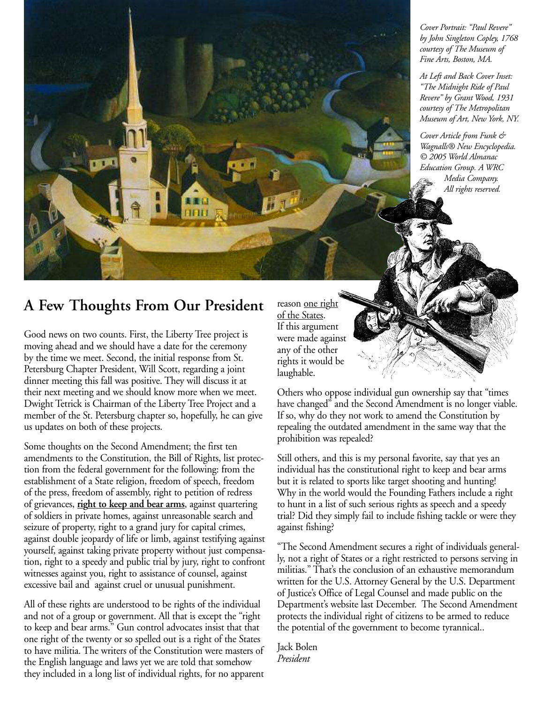*Cover Portrait: "Paul Revere" by John Singleton Copley, 1768 courtesy of The Museum of Fine Arts, Boston, MA.*

*At Left and Back Cover Inset: "The Midnight Ride of Paul Revere" by Grant Wood, 1931 courtesy of The Metropolitan Museum of Art, New York, NY.*

*Cover Article from Funk & Wagnalls® New Encyclopedia. © 2005 World Almanac Education Group. A WRC Media Company. All rights reserved.*

## **A Few Thoughts From Our President** reason one right

Good news on two counts. First, the Liberty Tree project is moving ahead and we should have a date for the ceremony by the time we meet. Second, the initial response from St. Petersburg Chapter President, Will Scott, regarding a joint dinner meeting this fall was positive. They will discuss it at their next meeting and we should know more when we meet. Dwight Tetrick is Chairman of the Liberty Tree Project and a member of the St. Petersburg chapter so, hopefully, he can give us updates on both of these projects.

Some thoughts on the Second Amendment; the first ten amendments to the Constitution, the Bill of Rights, list protection from the federal government for the following: from the establishment of a State religion, freedom of speech, freedom of the press, freedom of assembly, right to petition of redress of grievances, **right to keep and bear arms**, against quartering of soldiers in private homes, against unreasonable search and seizure of property, right to a grand jury for capital crimes, against double jeopardy of life or limb, against testifying against yourself, against taking private property without just compensation, right to a speedy and public trial by jury, right to confront witnesses against you, right to assistance of counsel, against excessive bail and against cruel or unusual punishment.

All of these rights are understood to be rights of the individual and not of a group or government. All that is except the "right to keep and bear arms." Gun control advocates insist that that one right of the twenty or so spelled out is a right of the States to have militia. The writers of the Constitution were masters of the English language and laws yet we are told that somehow they included in a long list of individual rights, for no apparent

of the States. If this argument were made against any of the other rights it would be laughable.

Others who oppose individual gun ownership say that "times have changed" and the Second Amendment is no longer viable. If so, why do they not work to amend the Constitution by repealing the outdated amendment in the same way that the prohibition was repealed?

Still others, and this is my personal favorite, say that yes an individual has the constitutional right to keep and bear arms but it is related to sports like target shooting and hunting! Why in the world would the Founding Fathers include a right to hunt in a list of such serious rights as speech and a speedy trial? Did they simply fail to include fishing tackle or were they against fishing?

"The Second Amendment secures a right of individuals generally, not a right of States or a right restricted to persons serving in militias." That's the conclusion of an exhaustive memorandum written for the U.S. Attorney General by the U.S. Department of Justice's Office of Legal Counsel and made public on the Department's website last December. The Second Amendment protects the individual right of citizens to be armed to reduce the potential of the government to become tyrannical..

Jack Bolen *President*